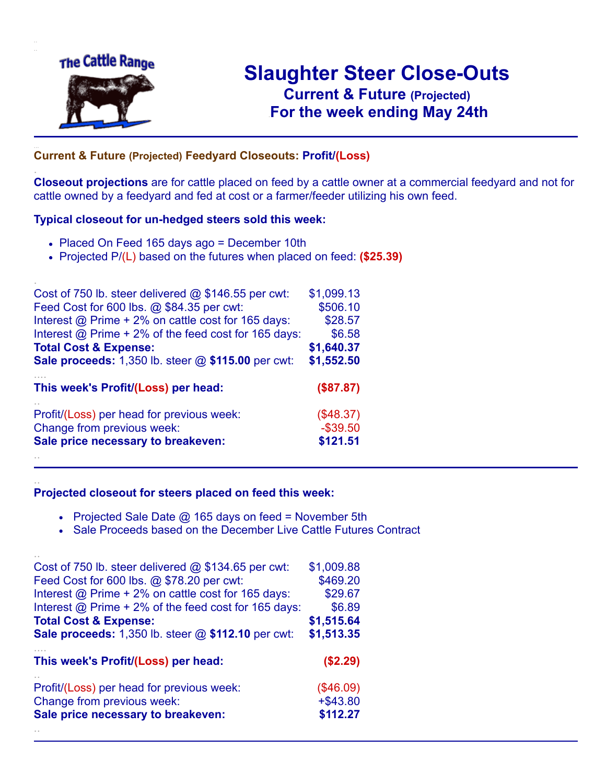

.

..

# **Slaughter Steer Close-Outs Current & Future (Projected)** .**For the week ending May 24th**

#### **Current & Future (Projected) Feedyard Closeouts: Profit/(Loss)**

**Closeout projections** are for cattle placed on feed by a cattle owner at a commercial feedyard and not for cattle owned by a feedyard and fed at cost or a farmer/feeder utilizing his own feed.

#### **Typical closeout for un-hedged steers sold this week:**

- Placed On Feed 165 days ago = December 10th
- Projected P/(L) based on the futures when placed on feed: **(\$25.39)**

| Cost of 750 lb. steer delivered $@$ \$146.55 per cwt:       | \$1,099.13  |
|-------------------------------------------------------------|-------------|
| Feed Cost for 600 lbs. @ \$84.35 per cwt:                   | \$506.10    |
| Interest @ Prime + 2% on cattle cost for 165 days:          | \$28.57     |
| Interest $\omega$ Prime + 2% of the feed cost for 165 days: | \$6.58      |
| <b>Total Cost &amp; Expense:</b>                            | \$1,640.37  |
| <b>Sale proceeds:</b> 1,350 lb. steer @ \$115.00 per cwt:   | \$1,552.50  |
| This week's Profit/(Loss) per head:                         | (\$87.87)   |
| Profit/(Loss) per head for previous week:                   | (\$48.37)   |
| Change from previous week:                                  | $-$ \$39.50 |
| Sale price necessary to breakeven:                          | \$121.51    |
|                                                             |             |

#### **Projected closeout for steers placed on feed this week:**

- Projected Sale Date  $@$  165 days on feed = November 5th
	- Sale Proceeds based on the December Live Cattle Futures Contract

| Cost of 750 lb. steer delivered $@$ \$134.65 per cwt:       | \$1,009.88  |
|-------------------------------------------------------------|-------------|
| Feed Cost for 600 lbs. @ \$78.20 per cwt:                   | \$469.20    |
| Interest @ Prime + 2% on cattle cost for 165 days:          | \$29.67     |
| Interest $\omega$ Prime + 2% of the feed cost for 165 days: | \$6.89      |
| <b>Total Cost &amp; Expense:</b>                            | \$1,515.64  |
| <b>Sale proceeds:</b> 1,350 lb. steer $@$ \$112.10 per cwt: | \$1,513.35  |
|                                                             |             |
| This week's Profit/(Loss) per head:                         | (\$2.29)    |
| Profit/(Loss) per head for previous week:                   | (\$46.09)   |
| Change from previous week:                                  | $+$ \$43.80 |
| Sale price necessary to breakeven:                          | \$112.27    |